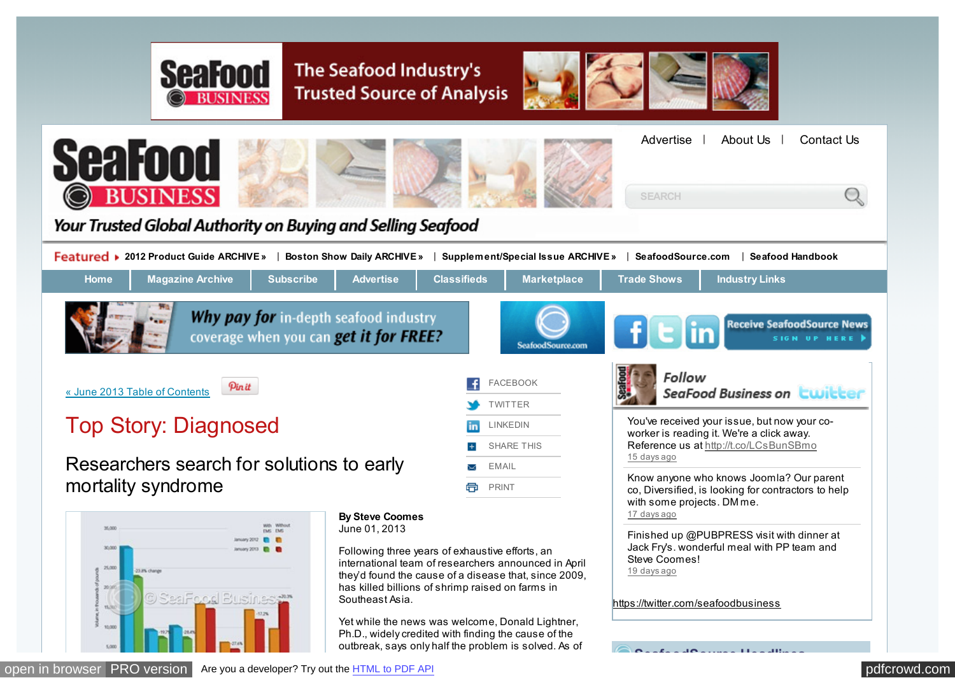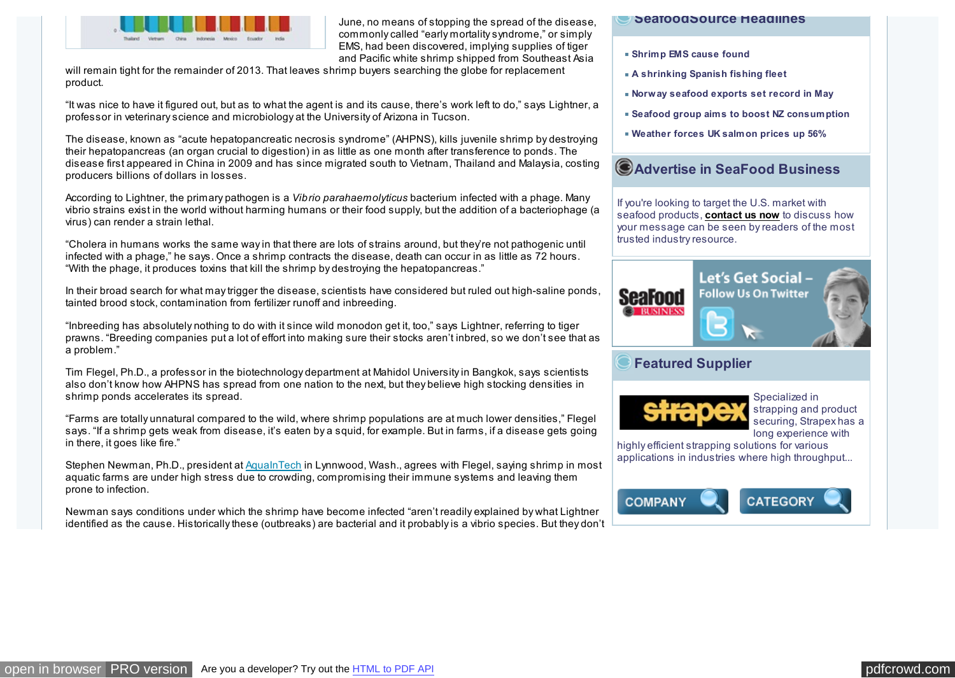

June, no means of stopping the spread of the disease, commonly called "early mortality syndrome," or simply EMS, had been discovered, implying supplies of tiger and Pacific white shrimp shipped from Southeast Asia

will remain tight for the remainder of 2013. That leaves shrimp buyers searching the globe for replacement product.

"It was nice to have it figured out, but as to what the agent is and its cause, there's work left to do," says Lightner, a professor in veterinary science and microbiology at the University of Arizona in Tucson.

The disease, known as "acute hepatopancreatic necrosis syndrome" (AHPNS), kills juvenile shrimp by destroying their hepatopancreas (an organ crucial to digestion) in as little as one month after transference to ponds. The disease first appeared in China in 2009 and has since migrated south to Vietnam, Thailand and Malaysia, costing producers billions of dollars in losses.

According to Lightner, the primary pathogen is a *Vibrio parahaemolyticus* bacterium infected with a phage. Many vibrio strains exist in the world without harming humans or their food supply, but the addition of a bacteriophage (a virus) can render a strain lethal.

"Cholera in humans works the same way in that there are lots of strains around, but they're not pathogenic until infected with a phage," he says. Once a shrimp contracts the disease, death can occur in as little as 72 hours. "With the phage, it produces toxins that kill the shrimp by destroying the hepatopancreas."

In their broad search for what may trigger the disease, scientists have considered but ruled out high-saline ponds, tainted brood stock, contamination from fertilizer runoff and inbreeding.

"Inbreeding has absolutely nothing to do with it since wild monodon get it, too," says Lightner, referring to tiger prawns. "Breeding companies put a lot of effort into making sure their stocks aren't inbred, so we don't see that as a problem."

Tim Flegel, Ph.D., a professor in the biotechnology department at Mahidol University in Bangkok, says scientists also don't know how AHPNS has spread from one nation to the next, but they believe high stocking densities in shrimp ponds accelerates its spread.

"Farms are totally unnatural compared to the wild, where shrimp populations are at much lower densities," Flegel says. "If a shrimp gets weak from disease, it's eaten by a squid, for example. But in farms, if a disease gets going in there, it goes like fire."

Stephen Newman, Ph.D., president at [AquaInTech](http://www.aqua-in-tech.com/) in Lynnwood, Wash., agrees with Flegel, saying shrimp in most aquatic farms are under high stress due to crowding, compromising their immune systems and leaving them prone to infection.

Newman says conditions under which the shrimp have become infected "aren't readily explained by what Lightner identified as the cause. Historically these (outbreaks) are bacterial and it probably is a vibrio species. But they don't

### **SeafoodSource Headlines**

- **[Shrimp EMS cause found](http://www.seafoodsource.com/newsarticledetail.aspx?id=21000)**
- **[A shrinking Spanish fishing fleet](http://www.seafoodsource.com/newsarticledetail.aspx?id=21018)**
- **[Norway seafood exports set record in May](http://www.seafoodsource.com/newsarticledetail.aspx?id=21021)**
- **[Seafood group aims to boost NZ consumption](http://www.seafoodsource.com/newsarticledetail.aspx?id=21006)**
- **[Weather forces UK salmon prices up 56%](http://www.seafoodsource.com/newsarticledetail.aspx?id=21022)**

# **Advertise in SeaFood Business**

If you're looking to target the U.S. market with seafood products, **[contact us now](mailto:frobinson@divcom.com)** to discuss how your message can be seen by readers of the most trusted industry resource.



## **Featured Supplier**



Specialized in strapping and product securing, Strapex has a long experience with

highly efficient strapping solutions for various [applications in industries where high throughput...](http://www.seafoodsource.com/supplierdetail.aspx?id=9572)

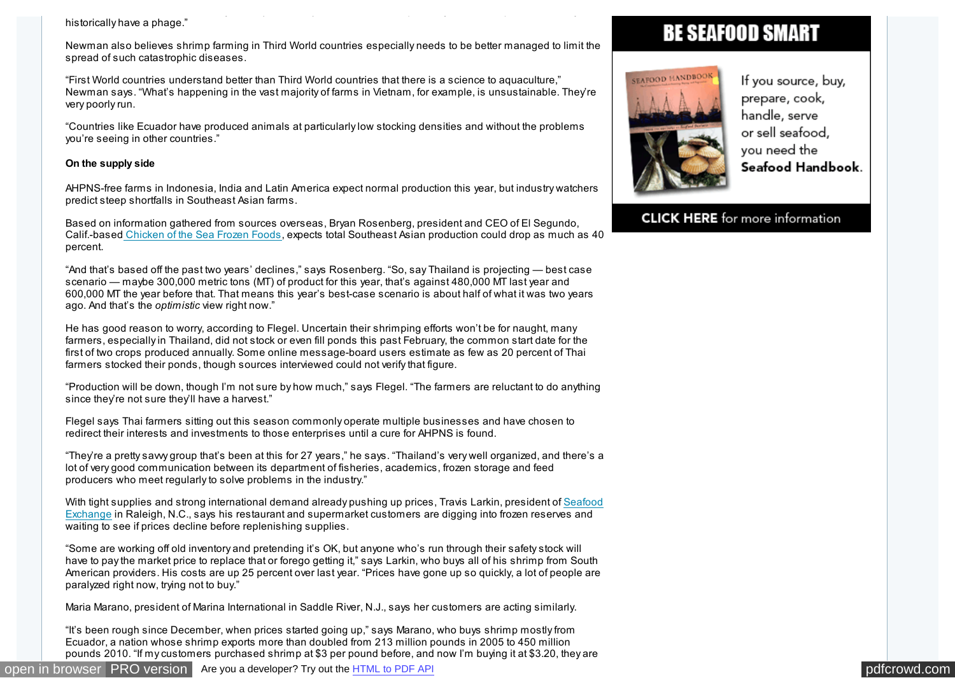### identified as the cause. Historically these (outbreaks) are bacterial and it probably is a vibrio species. But they don't historically have a phage."

Newman also believes shrimp farming in Third World countries especially needs to be better managed to limit the spread of such catastrophic diseases.

"First World countries understand better than Third World countries that there is a science to aquaculture," Newman says. "What's happening in the vast majority of farms in Vietnam, for example, is unsustainable. They're very poorly run.

"Countries like Ecuador have produced animals at particularly low stocking densities and without the problems you're seeing in other countries."

### **On the supply side**

AHPNS-free farms in Indonesia, India and Latin America expect normal production this year, but industry watchers predict steep shortfalls in Southeast Asian farms.

Based on information gathered from sources overseas, Bryan Rosenberg, president and CEO of El Segundo, Calif.-base[d Chicken of the Sea Frozen Foods,](http://chickenofthesea.com/) expects total Southeast Asian production could drop as much as 40 percent.

"And that's based off the past two years' declines," says Rosenberg. "So, say Thailand is projecting — best case scenario — maybe 300,000 metric tons (MT) of product for this year, that's against 480,000 MT last year and 600,000 MT the year before that. That means this year's best-case scenario is about half of what it was two years ago. And that's the *optimistic* view right now."

He has good reason to worry, according to Flegel. Uncertain their shrimping efforts won't be for naught, many farmers, especially in Thailand, did not stock or even fill ponds this past February, the common start date for the first of two crops produced annually. Some online message-board users estimate as few as 20 percent of Thai farmers stocked their ponds, though sources interviewed could not verify that figure.

"Production will be down, though I'm not sure by how much," says Flegel. "The farmers are reluctant to do anything since they're not sure they'll have a harvest."

Flegel says Thai farmers sitting out this season commonly operate multiple businesses and have chosen to redirect their interests and investments to those enterprises until a cure for AHPNS is found.

"They're a pretty savvy group that's been at this for 27 years," he says. "Thailand's very well organized, and there's a lot of very good communication between its department of fisheries, academics, frozen storage and feed producers who meet regularly to solve problems in the industry."

[With tight supplies and strong international demand already pushing up prices, Travis Larkin, president of Seafood](http://www.seafoodexchange.net/) Exchange in Raleigh, N.C., says his restaurant and supermarket customers are digging into frozen reserves and waiting to see if prices decline before replenishing supplies.

"Some are working off old inventory and pretending it's OK, but anyone who's run through their safety stock will have to pay the market price to replace that or forego getting it," says Larkin, who buys all of his shrimp from South American providers. His costs are up 25 percent over last year. "Prices have gone up so quickly, a lot of people are paralyzed right now, trying not to buy."

Maria Marano, president of Marina International in Saddle River, N.J., says her customers are acting similarly.

"It's been rough since December, when prices started going up," says Marano, who buys shrimp mostly from Ecuador, a nation whose shrimp exports more than doubled from 213 million pounds in 2005 to 450 million pounds 2010. "If my customers purchased shrimp at \$3 per pound before, and now I'm buying it at \$3.20, they are

# **BE SEAFOOD SMART**



If you source, buy, prepare, cook, handle, serve or sell seafood, vou need the Seafood Handbook.

## **CLICK HERE** for more information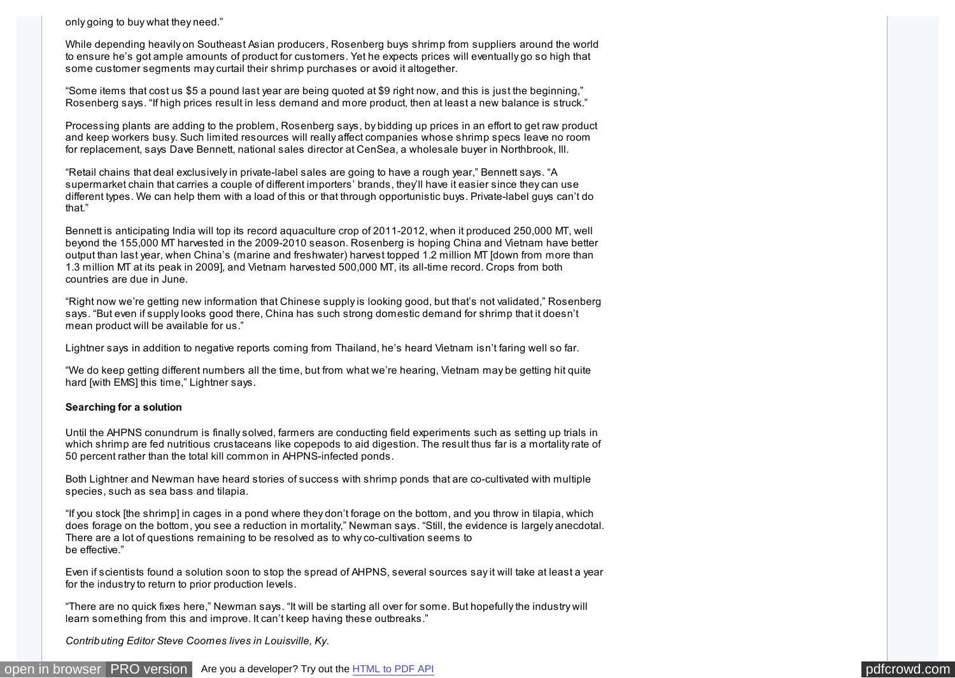only going to buy what they need."

While depending heavily on Southeast Asian producers, Rosenberg buys shrimp from suppliers around the world to ensure he's got ample amounts of product for customers. Yet he expects prices will eventually go so high that some customer segments may curtail their shrimp purchases or avoid it altogether.

"Some items that cost us \$5 a pound last year are being quoted at \$9 right now, and this is just the beginning," Rosenberg says. "If high prices result in less demand and more product, then at least a new balance is struck."

Processing plants are adding to the problem, Rosenberg says, by bidding up prices in an effort to get raw product and keep workers busy. Such limited resources will really affect companies whose shrimp specs leave no room for replacement, says Dave Bennett, national sales director at CenSea, a wholesale buyer in Northbrook, Ill.

"Retail chains that deal exclusively in private-label sales are going to have a rough year," Bennett says. "A supermarket chain that carries a couple of different importers' brands, they'll have it easier since they can use different types. We can help them with a load of this or that through opportunistic buys. Private-label guys can't do that."

Bennett is anticipating India will top its record aquaculture crop of 2011-2012, when it produced 250,000 MT, well beyond the 155,000 MT harvested in the 2009-2010 season. Rosenberg is hoping China and Vietnam have better output than last year, when China's (marine and freshwater) harvest topped 1.2 million MT [down from more than 1.3 million MT at its peak in 2009], and Vietnam harvested 500,000 MT, its all-time record. Crops from both countries are due in June.

"Right now we're getting new information that Chinese supply is looking good, but that's not validated," Rosenberg says. "But even if supply looks good there, China has such strong domestic demand for shrimp that it doesn't mean product will be available for us."

Lightner says in addition to negative reports coming from Thailand, he's heard Vietnam isn't faring well so far.

"We do keep getting different numbers all the time, but from what we're hearing, Vietnam may be getting hit quite hard [with EMS] this time," Lightner says.

### **Searching for a solution**

Until the AHPNS conundrum is finally solved, farmers are conducting field experiments such as setting up trials in which shrimp are fed nutritious crustaceans like copepods to aid digestion. The result thus far is a mortality rate of 50 percent rather than the total kill common in AHPNS-infected ponds.

Both Lightner and Newman have heard stories of success with shrimp ponds that are co-cultivated with multiple species, such as sea bass and tilapia.

"If you stock [the shrimp] in cages in a pond where they don't forage on the bottom, and you throw in tilapia, which does forage on the bottom, you see a reduction in mortality," Newman says. "Still, the evidence is largely anecdotal. There are a lot of questions remaining to be resolved as to why co-cultivation seems to be effective."

Even if scientists found a solution soon to stop the spread of AHPNS, several sources say it will take at least a year for the industry to return to prior production levels.

"There are no quick fixes here," Newman says. "It will be starting all over for some. But hopefully the industry will learn something from this and improve. It can't keep having these outbreaks."

*Contributing Editor Steve Coomes lives in Louisville, Ky.*